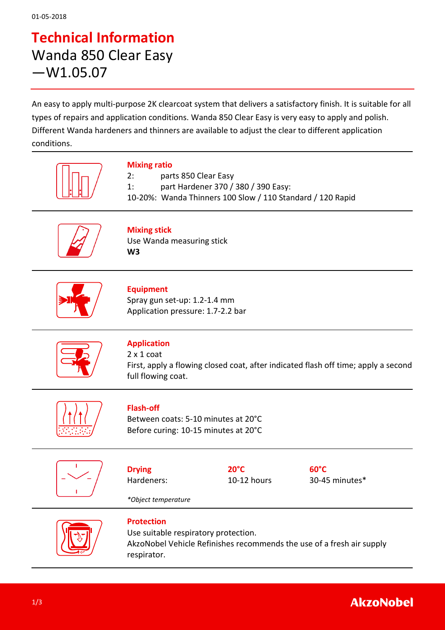### **Technical Information** Wanda 850 Clear Easy —W1.05.07

An easy to apply multi-purpose 2K clearcoat system that delivers a satisfactory finish. It is suitable for all types of repairs and application conditions. Wanda 850 Clear Easy is very easy to apply and polish. Different Wanda hardeners and thinners are available to adjust the clear to different application conditions.

| <b>Mixing ratio</b><br>parts 850 Clear Easy<br>2:<br>1:<br>part Hardener 370 / 380 / 390 Easy:<br>10-20%: Wanda Thinners 100 Slow / 110 Standard / 120 Rapid |                               |                                  |
|--------------------------------------------------------------------------------------------------------------------------------------------------------------|-------------------------------|----------------------------------|
| <b>Mixing stick</b><br>Use Wanda measuring stick<br>W <sub>3</sub>                                                                                           |                               |                                  |
| <b>Equipment</b><br>Spray gun set-up: 1.2-1.4 mm<br>Application pressure: 1.7-2.2 bar                                                                        |                               |                                  |
| <b>Application</b><br>$2 \times 1$ coat<br>First, apply a flowing closed coat, after indicated flash off time; apply a second<br>full flowing coat.          |                               |                                  |
| <b>Flash-off</b><br>Between coats: 5-10 minutes at 20°C<br>Before curing: 10-15 minutes at 20°C                                                              |                               |                                  |
| <b>Drying</b><br>Hardeners:<br>*Object temperature                                                                                                           | $20^{\circ}$ C<br>10-12 hours | $60^{\circ}$ C<br>30-45 minutes* |
| <b>Protection</b><br>Use suitable respiratory protection.<br>AkzoNobel Vehicle Refinishes recommends the use of a fresh air supply<br>respirator.            |                               |                                  |

#### **AkzoNobel**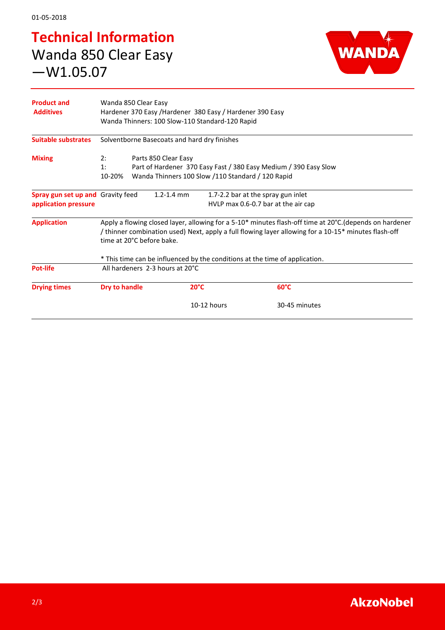# **Technical Information** Wanda 850 Clear Easy —W1.05.07



| <b>Product and</b><br><b>Additives</b>                    | Wanda 850 Clear Easy<br>Hardener 370 Easy / Hardener 380 Easy / Hardener 390 Easy<br>Wanda Thinners: 100 Slow-110 Standard-120 Rapid                                                                                                      |  |                |                |  |
|-----------------------------------------------------------|-------------------------------------------------------------------------------------------------------------------------------------------------------------------------------------------------------------------------------------------|--|----------------|----------------|--|
| <b>Suitable substrates</b>                                | Solventborne Basecoats and hard dry finishes                                                                                                                                                                                              |  |                |                |  |
| <b>Mixing</b>                                             | Parts 850 Clear Easy<br>2:<br>Part of Hardener 370 Easy Fast / 380 Easy Medium / 390 Easy Slow<br>1:<br>Wanda Thinners 100 Slow /110 Standard / 120 Rapid<br>10-20%                                                                       |  |                |                |  |
| Spray gun set up and Gravity feed<br>application pressure | $1.2 - 1.4$ mm<br>1.7-2.2 bar at the spray gun inlet<br>HVLP max 0.6-0.7 bar at the air cap                                                                                                                                               |  |                |                |  |
| <b>Application</b>                                        | Apply a flowing closed layer, allowing for a 5-10* minutes flash-off time at 20°C.(depends on hardener<br>thinner combination used) Next, apply a full flowing layer allowing for a 10-15* minutes flash-off<br>time at 20°C before bake. |  |                |                |  |
| <b>Pot-life</b>                                           | * This time can be influenced by the conditions at the time of application.<br>All hardeners 2-3 hours at 20°C                                                                                                                            |  |                |                |  |
| <b>Drying times</b>                                       | Dry to handle                                                                                                                                                                                                                             |  | $20^{\circ}$ C | $60^{\circ}$ C |  |
|                                                           |                                                                                                                                                                                                                                           |  | 10-12 hours    | 30-45 minutes  |  |